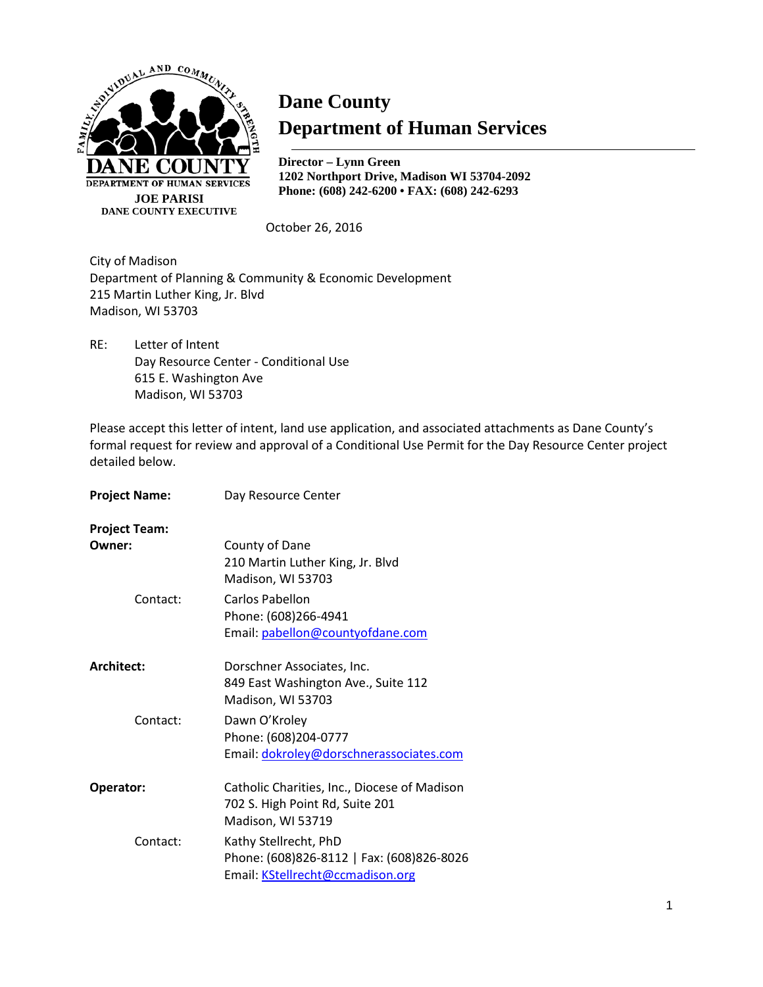

# **Dane County Department of Human Services**

**Director – Lynn Green 1202 Northport Drive, Madison WI 53704-2092 Phone: (608) 242-6200 • FAX: (608) 242-6293**

October 26, 2016

City of Madison Department of Planning & Community & Economic Development 215 Martin Luther King, Jr. Blvd Madison, WI 53703

RE: Letter of Intent Day Resource Center - Conditional Use 615 E. Washington Ave Madison, WI 53703

Please accept this letter of intent, land use application, and associated attachments as Dane County's formal request for review and approval of a Conditional Use Permit for the Day Resource Center project detailed below.

| <b>Project Name:</b> | Day Resource Center                                   |
|----------------------|-------------------------------------------------------|
| <b>Project Team:</b> |                                                       |
| Owner:               | County of Dane                                        |
|                      | 210 Martin Luther King, Jr. Blvd<br>Madison, WI 53703 |
| Contact:             | Carlos Pabellon                                       |
|                      | Phone: (608)266-4941                                  |
|                      | Email: pabellon@countyofdane.com                      |
| Architect:           | Dorschner Associates, Inc.                            |
|                      | 849 East Washington Ave., Suite 112                   |
|                      | Madison, WI 53703                                     |
| Contact:             | Dawn O'Kroley                                         |
|                      | Phone: (608)204-0777                                  |
|                      | Email: dokroley@dorschnerassociates.com               |
| Operator:            | Catholic Charities, Inc., Diocese of Madison          |
|                      | 702 S. High Point Rd, Suite 201                       |
|                      | Madison, WI 53719                                     |
| Contact:             | Kathy Stellrecht, PhD                                 |
|                      | Phone: (608)826-8112   Fax: (608)826-8026             |
|                      | Email: KStellrecht@ccmadison.org                      |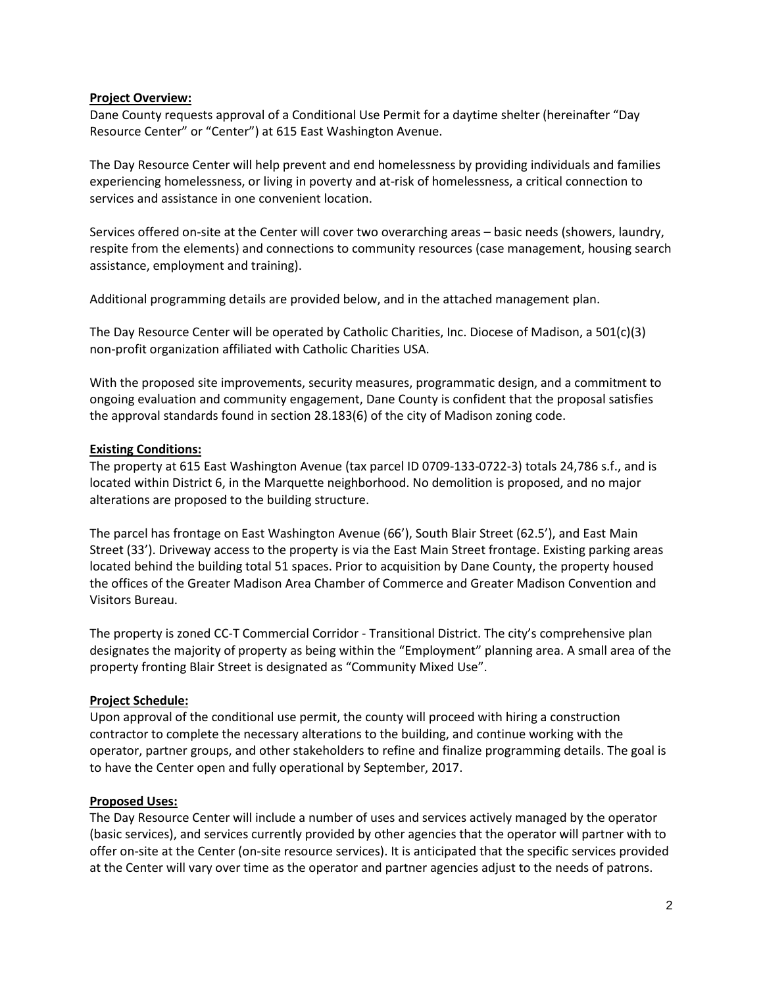## **Project Overview:**

Dane County requests approval of a Conditional Use Permit for a daytime shelter (hereinafter "Day Resource Center" or "Center") at 615 East Washington Avenue.

The Day Resource Center will help prevent and end homelessness by providing individuals and families experiencing homelessness, or living in poverty and at-risk of homelessness, a critical connection to services and assistance in one convenient location.

Services offered on-site at the Center will cover two overarching areas – basic needs (showers, laundry, respite from the elements) and connections to community resources (case management, housing search assistance, employment and training).

Additional programming details are provided below, and in the attached management plan.

The Day Resource Center will be operated by Catholic Charities, Inc. Diocese of Madison, a 501(c)(3) non-profit organization affiliated with Catholic Charities USA.

With the proposed site improvements, security measures, programmatic design, and a commitment to ongoing evaluation and community engagement, Dane County is confident that the proposal satisfies the approval standards found in section 28.183(6) of the city of Madison zoning code.

# **Existing Conditions:**

The property at 615 East Washington Avenue (tax parcel ID 0709-133-0722-3) totals 24,786 s.f., and is located within District 6, in the Marquette neighborhood. No demolition is proposed, and no major alterations are proposed to the building structure.

The parcel has frontage on East Washington Avenue (66'), South Blair Street (62.5'), and East Main Street (33'). Driveway access to the property is via the East Main Street frontage. Existing parking areas located behind the building total 51 spaces. Prior to acquisition by Dane County, the property housed the offices of the Greater Madison Area Chamber of Commerce and Greater Madison Convention and Visitors Bureau.

The property is zoned CC-T Commercial Corridor - Transitional District. The city's comprehensive plan designates the majority of property as being within the "Employment" planning area. A small area of the property fronting Blair Street is designated as "Community Mixed Use".

#### **Project Schedule:**

Upon approval of the conditional use permit, the county will proceed with hiring a construction contractor to complete the necessary alterations to the building, and continue working with the operator, partner groups, and other stakeholders to refine and finalize programming details. The goal is to have the Center open and fully operational by September, 2017.

# **Proposed Uses:**

The Day Resource Center will include a number of uses and services actively managed by the operator (basic services), and services currently provided by other agencies that the operator will partner with to offer on-site at the Center (on-site resource services). It is anticipated that the specific services provided at the Center will vary over time as the operator and partner agencies adjust to the needs of patrons.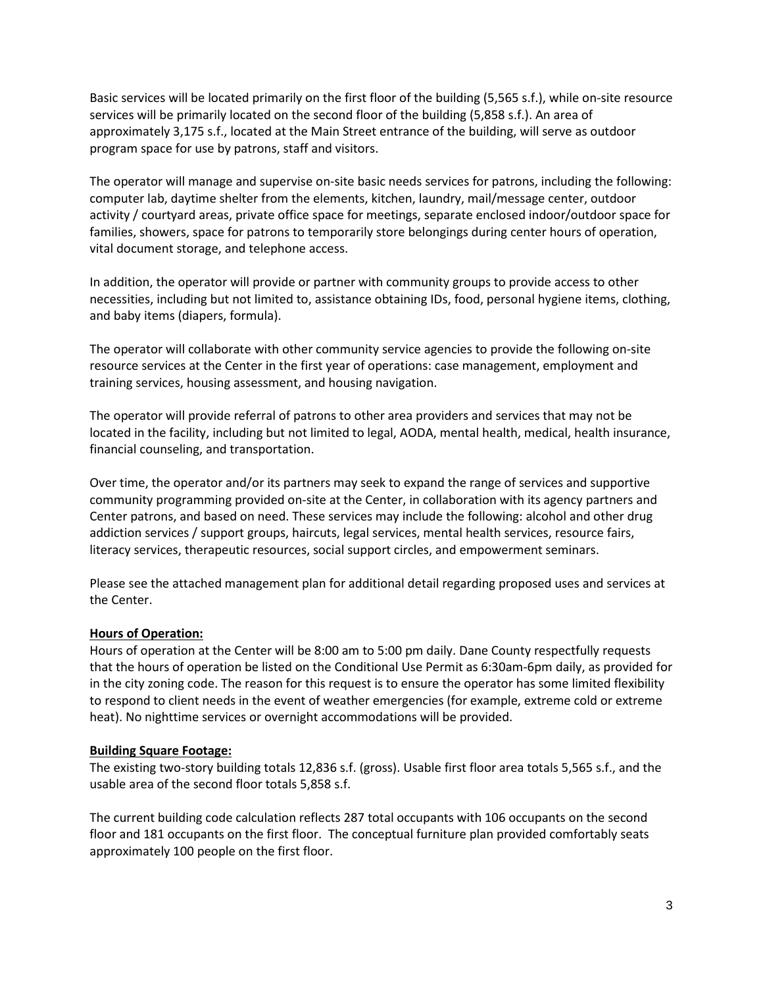Basic services will be located primarily on the first floor of the building (5,565 s.f.), while on-site resource services will be primarily located on the second floor of the building (5,858 s.f.). An area of approximately 3,175 s.f., located at the Main Street entrance of the building, will serve as outdoor program space for use by patrons, staff and visitors.

The operator will manage and supervise on-site basic needs services for patrons, including the following: computer lab, daytime shelter from the elements, kitchen, laundry, mail/message center, outdoor activity / courtyard areas, private office space for meetings, separate enclosed indoor/outdoor space for families, showers, space for patrons to temporarily store belongings during center hours of operation, vital document storage, and telephone access.

In addition, the operator will provide or partner with community groups to provide access to other necessities, including but not limited to, assistance obtaining IDs, food, personal hygiene items, clothing, and baby items (diapers, formula).

The operator will collaborate with other community service agencies to provide the following on-site resource services at the Center in the first year of operations: case management, employment and training services, housing assessment, and housing navigation.

The operator will provide referral of patrons to other area providers and services that may not be located in the facility, including but not limited to legal, AODA, mental health, medical, health insurance, financial counseling, and transportation.

Over time, the operator and/or its partners may seek to expand the range of services and supportive community programming provided on-site at the Center, in collaboration with its agency partners and Center patrons, and based on need. These services may include the following: alcohol and other drug addiction services / support groups, haircuts, legal services, mental health services, resource fairs, literacy services, therapeutic resources, social support circles, and empowerment seminars.

Please see the attached management plan for additional detail regarding proposed uses and services at the Center.

# **Hours of Operation:**

Hours of operation at the Center will be 8:00 am to 5:00 pm daily. Dane County respectfully requests that the hours of operation be listed on the Conditional Use Permit as 6:30am-6pm daily, as provided for in the city zoning code. The reason for this request is to ensure the operator has some limited flexibility to respond to client needs in the event of weather emergencies (for example, extreme cold or extreme heat). No nighttime services or overnight accommodations will be provided.

# **Building Square Footage:**

The existing two-story building totals 12,836 s.f. (gross). Usable first floor area totals 5,565 s.f., and the usable area of the second floor totals 5,858 s.f.

The current building code calculation reflects 287 total occupants with 106 occupants on the second floor and 181 occupants on the first floor. The conceptual furniture plan provided comfortably seats approximately 100 people on the first floor.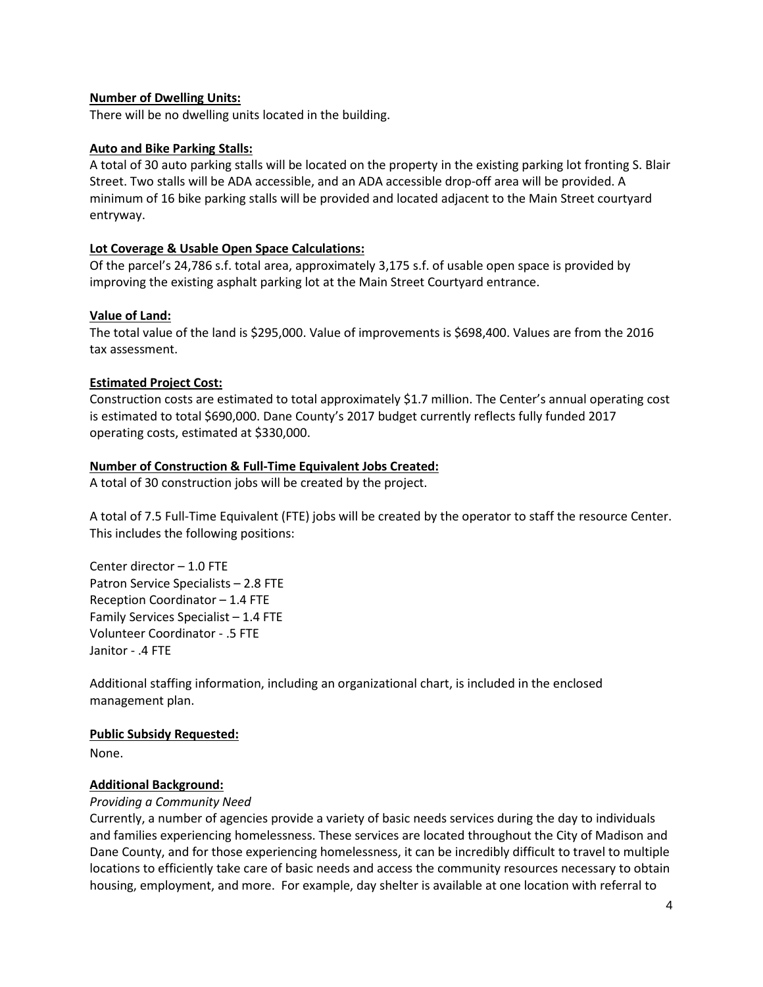## **Number of Dwelling Units:**

There will be no dwelling units located in the building.

#### **Auto and Bike Parking Stalls:**

A total of 30 auto parking stalls will be located on the property in the existing parking lot fronting S. Blair Street. Two stalls will be ADA accessible, and an ADA accessible drop-off area will be provided. A minimum of 16 bike parking stalls will be provided and located adjacent to the Main Street courtyard entryway.

## **Lot Coverage & Usable Open Space Calculations:**

Of the parcel's 24,786 s.f. total area, approximately 3,175 s.f. of usable open space is provided by improving the existing asphalt parking lot at the Main Street Courtyard entrance.

## **Value of Land:**

The total value of the land is \$295,000. Value of improvements is \$698,400. Values are from the 2016 tax assessment.

## **Estimated Project Cost:**

Construction costs are estimated to total approximately \$1.7 million. The Center's annual operating cost is estimated to total \$690,000. Dane County's 2017 budget currently reflects fully funded 2017 operating costs, estimated at \$330,000.

## **Number of Construction & Full-Time Equivalent Jobs Created:**

A total of 30 construction jobs will be created by the project.

A total of 7.5 Full-Time Equivalent (FTE) jobs will be created by the operator to staff the resource Center. This includes the following positions:

Center director – 1.0 FTE Patron Service Specialists – 2.8 FTE Reception Coordinator – 1.4 FTE Family Services Specialist – 1.4 FTE Volunteer Coordinator - .5 FTE Janitor - .4 FTE

Additional staffing information, including an organizational chart, is included in the enclosed management plan.

#### **Public Subsidy Requested:**

None.

# **Additional Background:**

#### *Providing a Community Need*

Currently, a number of agencies provide a variety of basic needs services during the day to individuals and families experiencing homelessness. These services are located throughout the City of Madison and Dane County, and for those experiencing homelessness, it can be incredibly difficult to travel to multiple locations to efficiently take care of basic needs and access the community resources necessary to obtain housing, employment, and more. For example, day shelter is available at one location with referral to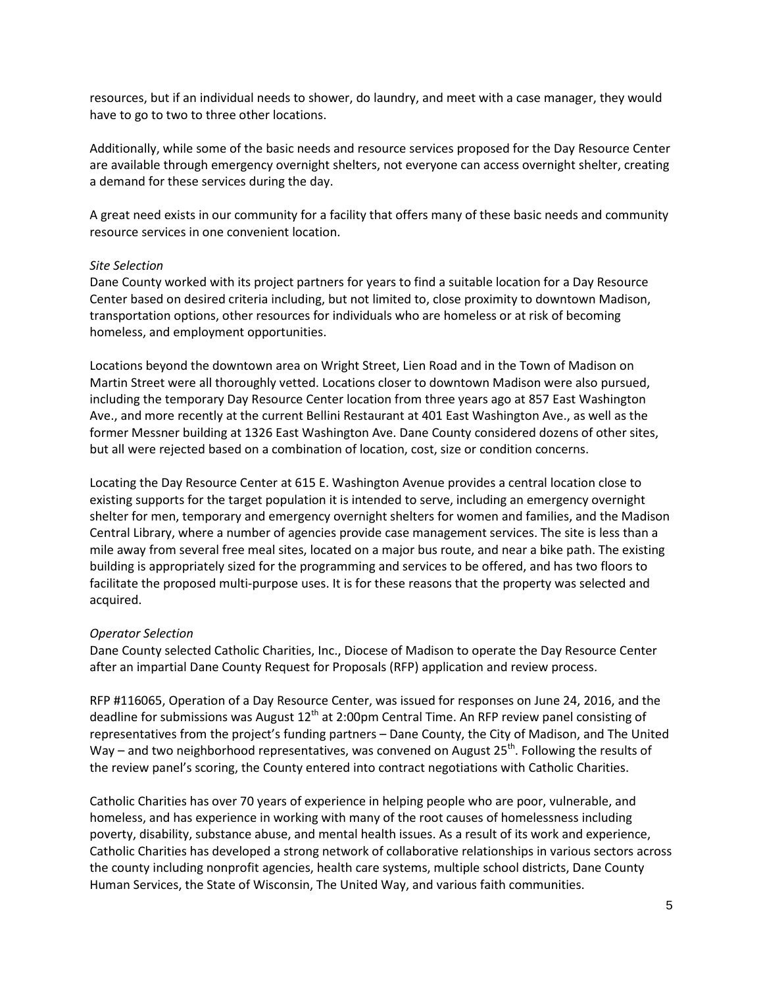resources, but if an individual needs to shower, do laundry, and meet with a case manager, they would have to go to two to three other locations.

Additionally, while some of the basic needs and resource services proposed for the Day Resource Center are available through emergency overnight shelters, not everyone can access overnight shelter, creating a demand for these services during the day.

A great need exists in our community for a facility that offers many of these basic needs and community resource services in one convenient location.

#### *Site Selection*

Dane County worked with its project partners for years to find a suitable location for a Day Resource Center based on desired criteria including, but not limited to, close proximity to downtown Madison, transportation options, other resources for individuals who are homeless or at risk of becoming homeless, and employment opportunities.

Locations beyond the downtown area on Wright Street, Lien Road and in the Town of Madison on Martin Street were all thoroughly vetted. Locations closer to downtown Madison were also pursued, including the temporary Day Resource Center location from three years ago at 857 East Washington Ave., and more recently at the current Bellini Restaurant at 401 East Washington Ave., as well as the former Messner building at 1326 East Washington Ave. Dane County considered dozens of other sites, but all were rejected based on a combination of location, cost, size or condition concerns.

Locating the Day Resource Center at 615 E. Washington Avenue provides a central location close to existing supports for the target population it is intended to serve, including an emergency overnight shelter for men, temporary and emergency overnight shelters for women and families, and the Madison Central Library, where a number of agencies provide case management services. The site is less than a mile away from several free meal sites, located on a major bus route, and near a bike path. The existing building is appropriately sized for the programming and services to be offered, and has two floors to facilitate the proposed multi-purpose uses. It is for these reasons that the property was selected and acquired.

#### *Operator Selection*

Dane County selected Catholic Charities, Inc., Diocese of Madison to operate the Day Resource Center after an impartial Dane County Request for Proposals (RFP) application and review process.

RFP #116065, Operation of a Day Resource Center, was issued for responses on June 24, 2016, and the deadline for submissions was August 12<sup>th</sup> at 2:00pm Central Time. An RFP review panel consisting of representatives from the project's funding partners – Dane County, the City of Madison, and The United Way – and two neighborhood representatives, was convened on August 25<sup>th</sup>. Following the results of the review panel's scoring, the County entered into contract negotiations with Catholic Charities.

Catholic Charities has over 70 years of experience in helping people who are poor, vulnerable, and homeless, and has experience in working with many of the root causes of homelessness including poverty, disability, substance abuse, and mental health issues. As a result of its work and experience, Catholic Charities has developed a strong network of collaborative relationships in various sectors across the county including nonprofit agencies, health care systems, multiple school districts, Dane County Human Services, the State of Wisconsin, The United Way, and various faith communities.